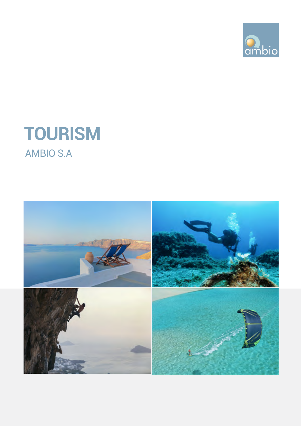

## **tourism** AMBIO S.A

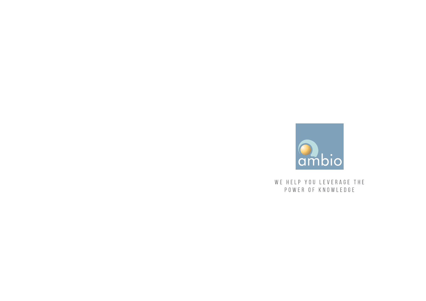

WE HELP YOU LEVERAGE THE POWER OF KNOWLEDGE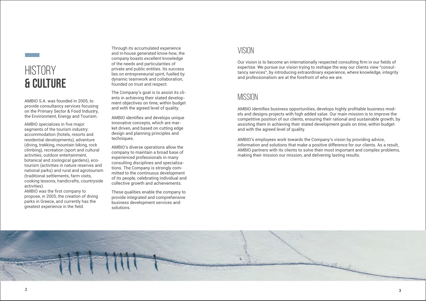## **HISTORY** & culture

AMBIO S.A. was founded in 2005, to provide consultancy services focusing on the Primary Sector & Food Industry, the Environment, Energy and Tourism.

Through its accumulated experience and in-house generated know-how, the company boasts excellent knowledge of the needs and particularities of private and public entities. Its success lies on entrepreneurial spirit, fuelled by dynamic teamwork and collaboration, founded on trust and respect.

The Company's goal is to assist its clients in achieving their stated development objectives on time, within budget and with the agreed level of quality.

AMBIO identifies and develops unique innovative concepts, which are market driven, and based on cutting edge design and planning principles and techniques.

AMBIO's diverse operations allow the company to maintain a broad base of experienced professionals in many consulting disciplines and specializations. The Company is strongly committed to the continuous development of its people, celebrating individual and collective growth and achievements.

These qualities enable the company to provide integrated and comprehensive business development services and solutions.

#### **VISION**

Our vision is to become an internationally respected consulting firm in our fields of expertise. We pursue our vision trying to reshape the way our clients view "consultancy services", by introducing extraordinary experience, where knowledge, integrity and professionalism are at the forefront of who we are.

#### **MISSION**

AMBIO identifies business opportunities, develops highly profitable business models and designs projects with high added value. Our main mission is to improve the competitive position of our clients, ensuring their rational and sustainable growth, by assisting them in achieving their stated development goals on time, within budget and with the agreed level of quality.

AMBIO's employees work towards the Company's vision by providing advice, information and solutions that make a positive difference for our clients. As a result, AMBIO partners with its clients to solve their most important and complex problems, making their mission our mission, and delivering lasting results.



AMBIO specializes in five major segments of the tourism industry: accommodation (hotels, resorts and residential developments), adventure (diving, trekking, mountain biking, rock climbing), recreation (sport and cultural activities, outdoor entertainment, botanical and zoological gardens), ecotourism (activities in nature reserves and national parks) and rural and agrotourism (traditional settlements, farm visits, cooking lessons, handicrafts, countryside activities).

AMBIO was the first company to propose, in 2005, the creation of diving parks in Greece, and currently has the greatest experience in the field.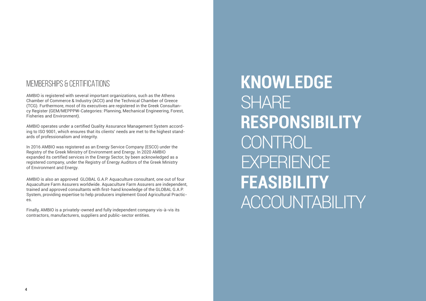#### MEMBERSHIPS & CERTIFICATIONS

AMBIO is registered with several important organizations, such as the Athens Chamber of Commerce & Industry (ACCI) and the Technical Chamber of Greece (TCG). Furthermore, most of its executives are registered in the Greek Consultancy Register (GEM/MEPPPW-Categories: Planning, Mechanical Engineering, Forest, Fisheries and Environment).

AMBIO operates under a certified Quality Assurance Management System according to ISO 9001, which ensures that its clients' needs are met to the highest standards of professionalism and integrity.

In 2016 AMBIO was registered as an Energy Service Company (ESCO) under the Registry of the Greek Ministry of Environment and Energy. In 2020 AMBIO expanded its certified services in the Energy Sector, by been acknowledged as a registered company, under the Registry of Energy Auditors of the Greek Ministry of Environment and Energy.

AMBIO is also an approved GLOBAL G.A.P. Aquaculture consultant, one out of four Aquaculture Farm Assurers worldwide. Aquaculture Farm Assurers are independent, trained and approved consultants with first-hand knowledge of the GLOBAL G.A.P. System, providing expertise to help producers implement Good Agricultural Practices.

Finally, AMBIO is a privately-owned and fully independent company vis-à-vis its contractors, manufacturers, suppliers and public-sector entities.

**KNOWLEDGE SHARE RESPONSIBILITY CONTROL EXPERIENCE FEASIBILITY** ACCOUNTABILITY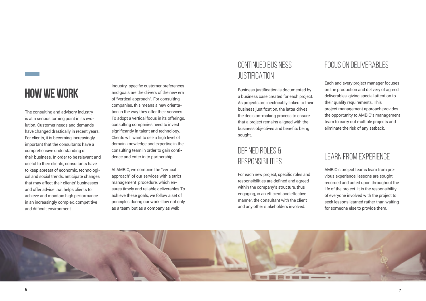## **HOW WE WORK**

The consulting and advisory industry is at a serious turning point in its evolution. Customer needs and demands have changed drastically in recent years. For clients, it is becoming increasingly important that the consultants have a comprehensive understanding of their business. In order to be relevant and useful to their clients, consultants have to keep abreast of economic, technological and social trends, anticipate changes that may affect their clients' businesses and offer advice that helps clients to achieve and maintain high performance in an increasingly complex, competitive and difficult environment.

#### DEFINED ROLES & **RESPONSIBILITIES**

Industry-specific customer preferences and goals are the drivers of the new era of "vertical approach". For consulting companies, this means a new orientation in the way they offer their services. To adopt a vertical focus in its offerings, consulting companies need to invest significantly in talent and technology. Clients will want to see a high level of domain knowledge and expertise in the consulting team in order to gain confidence and enter in to partnership.

At AMBIO, we combine the "vertical approach" of our services with a strict management procedure, which ensures timely and reliable deliverables.To achieve these goals, we follow a set of principles during our work-flow not only as a team, but as a company as well:

#### CONTINUED BUSINESS JUSTIFICATION

Business justification is documented by a business case created for each project. As projects are inextricably linked to their business justification, the latter drives the decision-making process to ensure that a project remains aligned with the business objectives and benefits being sought.

For each new project, specific roles and responsibilities are defined and agreed within the company's structure, thus engaging, in an efficient and effective manner, the consultant with the client and any other stakeholders involved.



#### FOCUS ON DELIVERABLES

Each and every project manager focuses on the production and delivery of agreed deliverables, giving special attention to their quality requirements. This project management approach provides the opportunity to AMBIO's management team to carry out multiple projects and eliminate the risk of any setback.

#### LEARN FROM EXPERIENCE

AMBIO's project teams learn from previous experience: lessons are sought, recorded and acted upon throughout the life of the project. It is the responsibility of everyone involved with the project to seek lessons learned rather than waiting for someone else to provide them.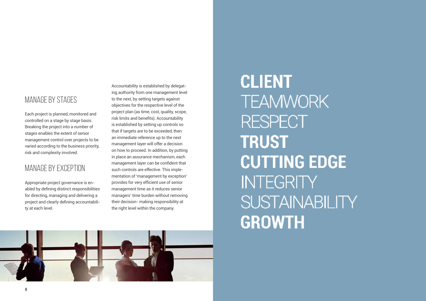#### MANAGE BY STAGES

Each project is planned, monitored and controlled on a stage by stage basis. Breaking the project into a number of stages enables the extent of senior management control over projects to be varied according to the business priority, risk and complexity involved.

#### MANAGE BY EXCEPTION

Appropriate project governance is en abled by defining distinct responsibilities for directing, managing and delivering a project and clearly defining accountabili ty at each level.

Accountability is established by delegat ing authority from one management level to the next, by setting targets against objectives for the respective level of the project plan (as time, cost, quality, scope, risk limits and benefits). Accountability is established by setting up controls so that if targets are to be exceeded, then an immediate reference up to the next management layer will offer a decision on how to proceed. In addition, by putting in place an assurance mechanism, each management layer can be confident that such controls are effective. This imple mentation of 'management by exception' provides for very efficient use of senior management time as it reduces senior managers' time burden without removing their decision- making responsibility at the right level within the company.

# **CLIENT TEAMWORK RESPECT TRUST CUTTING EDGE INTEGRITY SUSTAINABILITY GROWTH**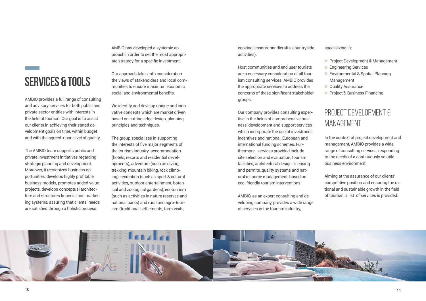## **SERVICES & TOOLS**

AMBIO provides a full range of consulting and advisory services for both public and private sector entities with interests in the field of tourism. Our goal is to assist our clients in achieving their stated development goals on time, within budget and with the agreed-upon level of quality.

The AMBIO team supports public and private investment initiatives regarding strategic planning and development. Moreover, it recognizes business opportunities, develops highly profitable business models, promotes added value projects, develops conceptual architecture and structures financial and marketing systems, assuring that clients' needs are satisfied through a holistic process.

AMBIO has developed a systemic approach in order to set the most appropriate strategy for a specific investment.

Our approach takes into consideration the views of stakeholders and local communities to ensure maximum economic, social and environmental benefits.

We identify and develop unique and innovative concepts which are market driven, based on cutting edge design, planning principles and techniques.

#### PROJECT DEVELOPMENT & MANAGEMENT

The group specialises in supporting the interests of five major segments of the tourism industry: accommodation (hotels, resorts and residential developments), adventure (such as diving, trekking, mountain biking, rock climbing), recreation (such as sport & cultural activities, outdoor entertainment, botanical and zoological gardens), ecotourism (such as activities in nature reserves and national parks) and rural and agro-tourism (traditional settlements, farm visits,

cooking lessons, handicrafts, countryside activities).

Host communities and end user tourists are a necessary consideration of all tourism consulting services. AMBIO provides the appropriate services to address the concerns of these significant stakeholder groups.

Our company provides consulting expertise in the fields of comprehensive business, development and support services which incorporate the use of investment incentives and national, European and international funding schemes. Furthermore, services provided include site selection and evaluation, tourism facilities, architectural design, licensing and permits, quality systems and natural resource management, based on eco-friendly tourism interventions.

AMBIO, as an expert consulting and developing company, provides a wide range of services in the tourism industry,



specializing in:

- **Project Development & Management**
- **Engineering Services**
- **Environmental & Spatial Planning** Management
- **Quality Assurance**
- **Project & Business Financing**

In the context of project development and management, AMBIO provides a wide range of consulting services, responding to the needs of a continuously volatile business environment.

Aiming at the assurance of our clients' competitive position and ensuring the rational and sustainable growth in the field of tourism, a list of services is provided: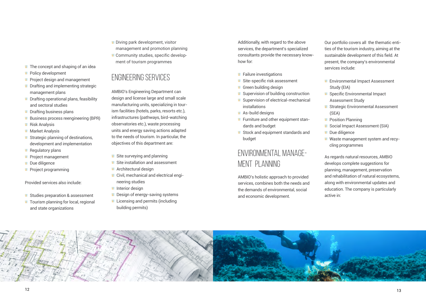- **Studies preparation & assessment**
- **T** Tourism planning for local, regional and state organizations
- $\blacksquare$  The concept and shaping of an idea
- **Policy development**
- **Project design and management**
- **Drafting and implementing strategic** management plans
- **Drafting operational plans, feasibility** and sectoral studies
- **Drafting business plans**
- **Business process reengineering (BPR)**
- **Risk Analysis**
- **Market Analysis**
- **Strategic planning of destinations,** development and implementation
- **Regulatory plans**
- **Project management**
- Due diligence
- **Project programming**

Provided services also include:

#### ENGINEERING SERVICES

- Site surveying and planning
- Site installation and assessment
- **Architectural design**
- Civil, mechanical and electrical engineering studies
- **Interior design**
- Design of energy-saving systems
- **Licensing and permits (including** building permits)

AMBIO's Engineering Department can design and license large and small scale manufacturing units, specializing in tourism facilities (hotels, parks, resorts etc.), infrastructures (pathways, bird-watching observatories etc.), waste processing units and energy saving actions adapted to the needs of tourism. In particular, the objectives of this department are:

- **Failure investigations**
- Site-specific risk assessment
- **Green building design**
- Supervision of building construction
- Supervision of electrical-mechanical installations
- **As-build designs**
- **Furniture and other equipment stan**dards and budget
- Stock and equipment standards and budget
- **Environmental Impact Assessment** Study (EIA)
- **Specific Environmental Impact** Assessment Study
- **Strategic Environmental Assessment** (SEA)
- **Position Planning**
- **Social Impact Assessment (SIA)**
- **Due diligence**
- **Waste management system and recy**cling programmes

Additionally, with regard to the above services, the department's specialized consultants provide the necessary knowhow for:

- **Diving park development, visitor** management and promotion planning
- Community studies, specific development of tourism programmes

#### ENVIRONMENTAL MANAGE-MENT PLANNING

AMBIO's holistic approach to provided services, combines both the needs and the demands of environmental, social and economic development.



Our portfolio covers all the thematic entities of the tourism industry, aiming at the sustainable development of this field. At present, the company's environmental services include:

As regards natural resources, AMBIO develops complete suggestions for planning, management, preservation and rehabilitation of natural ecosystems, along with environmental updates and education. The company is particularly active in: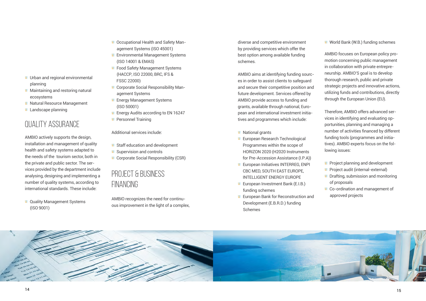- **Urban and regional environmental** planning
- **Maintaining and restoring natural** ecosystems
- **Natural Resource Management**
- **Landscape planning**

### QUALITY ASSURANCE

**Quality Management Systems** (ISO 9001)

- **COCCUPATIONAL Health and Safety Man**agement Systems (ISO 45001)
- **Environmental Management Systems** (ISO 14001 & EMAS)
- **Food Safety Management Systems**  (HACCP, ISO 22000, BRC, IFS & FSSC 22000)
- **Corporate Social Responsibility Man**agement Systems
- Energy Management Systems (ISO 50001)
- **Energy Audits according to EN 16247**
- **Personnel Training**

AMBIO actively supports the design, installation and management of quality health and safety systems adapted to the needs of the tourism sector, both in the private and public sector. The services provided by the department include analysing, designing and implementing a number of quality systems, according to international standards. These include:

Additional services include:

- **Staff education and development**
- Supervision and controls
- **Corporate Social Responsibility (CSR)**
- **National grants**
- **European Research Technological** Programmes within the scope of HORIZON 2020 (H2020 Instruments for Pre-Accession Assistance (I.P.A))
- **European Initiatives INTERREG, ENPI** CBC MED, SOUTH EAST EUROPE, INTELLIGENT ENERGY EUROPE
- **European Investment Bank (E.I.B.)** funding schemes
- **European Bank for Reconstruction and** Development (E.B.R.D.) funding Schemes



#### **World Bank (W.B.) funding schemes**

#### PROJECT & BUSINESS FINANCING

AMBIO recognizes the need for continuous improvement in the light of a complex, diverse and competitive environment by providing services which offer the best option among available funding schemes.

- **Project planning and development**
- **Project audit (internal-external)**
- **Drafting, submission and monitoring** of proposals
- Co-ordination and management of approved projects

ΑΜΒΙΟ aims at identifying funding sources in order to assist clients to safeguard and secure their competitive position and future development. Services offered by AMBIO provide access to funding and grants, available through national, European and international investment initiatives and programmes which include:

ΑΜΒΙΟ focuses on European policy promotion concerning public management in collaboration with private entrepreneurship. AMBIO'S goal is to develop thorough research, public and private strategic projects and innovative actions, utilizing funds and contributions, directly through the European Union (EU).

Therefore, AMBIO offers advanced services in identifying and evaluating opportunities, planning and managing a number of activities financed by different funding tools (programmes and initiatives). AMBIO experts focus on the following issues: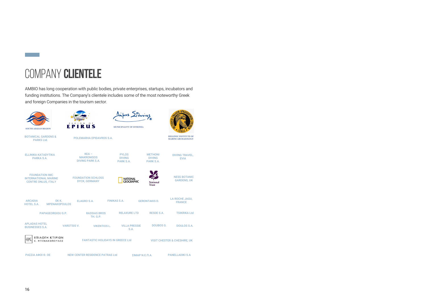## COMPANY **CLIENTELE**

| <b>SOUTH AEGEAN REGION</b>                                                         | EPIRUS                                                  | Anpos Sidwings<br>MUNICIPALITY OF SITHONIA |                                              |                                                           |
|------------------------------------------------------------------------------------|---------------------------------------------------------|--------------------------------------------|----------------------------------------------|-----------------------------------------------------------|
| <b>BOTANICAL GARDENS &amp;</b><br><b>PARKS Ltd.</b>                                | POLEMARHA EPIDAVROS S.A.                                |                                            |                                              | <b>HELLENIC INSTITUTE OF</b><br><b>MARINE ARCHAEOLOGY</b> |
| <b>ELLINIKA KATADYTIKA</b><br><b>PARKA S.A.</b>                                    | $KEA -$<br><b>MAKRONISOS</b><br><b>DIVING PARK S.A.</b> | <b>PYLOS</b><br><b>DIVING</b><br>PARK S.A. | <b>METHONI</b><br><b>DIVING</b><br>PARK S.A. | <b>DIVING TRAVEL,</b><br><b>EVIA</b>                      |
| <b>FOUNDATION IMC</b><br><b>INTERNATIONAL MARINE</b><br><b>CENTRE ONLUS, ITALY</b> | <b>FOUNDATION SCHLOSS</b><br><b>DYCK, GERMANY</b>       | <b>NATIONAL</b><br><b>GEOGRAPHIC</b>       | <b>National</b><br><b>Trust</b>              | <b>NESS BOTANIC</b><br><b>GARDENS, UK</b>                 |
| <b>ARCADIA</b><br>EK K.<br><b>HOTEL S.A.</b><br><b>MPENAKOPOULOS</b>               | <b>ELAGRO S.A.</b>                                      | <b>FINIKAS S.A.</b>                        | <b>GERONTAKIS D.</b>                         | LA ROCHE JAGU,<br><b>FRANCE</b>                           |
| PAPAGEORGIOU G.P.                                                                  | <b>RASSIAS BROS</b><br><b>TH. G.P.</b>                  | <b>RELAXURE LTD</b>                        | <b>RESDE S.A.</b>                            | <b>TSIKRIKA Ltd</b>                                       |
| <b>APLADAS HOTEL</b><br><b>BUSINESSES S.A.</b>                                     | <b>VIKENTIOS L.</b><br><b>VAROTSIS V.</b>               | <b>VILLA PRESSIE</b><br>S.A.               | <b>DOUBOS G.</b>                             | <b>DOULOS S.A.</b>                                        |
| ΕΠΙΛΟΓΗ ΚΤΙΡΙΩΝ<br>Κ. ΜΠΕΝΑΚΟΠΟΥΛΟΣ                                                |                                                         | <b>FANTASTIC HOLIDAYS IN GREECE Ltd</b>    |                                              | <b>VISIT CHESTER &amp; CHESHIRE, UK</b>                   |
| ΡΑΣΣΙΑ ΑΦΟΙ Θ. ΟΕ                                                                  | <b>NEW CENTER RESIDENCE PATRAS Ltd</b>                  |                                            | ΣΙΜΑΡ Ν.Ε.Π.Α.                               | <b>PANELLADIKI S.A</b>                                    |

AMBIO has long cooperation with public bodies, private enterprises, startups, incubators and funding institutions. The Company's clientele includes some of the most noteworthy Greek and foreign Companies in the tourism sector.